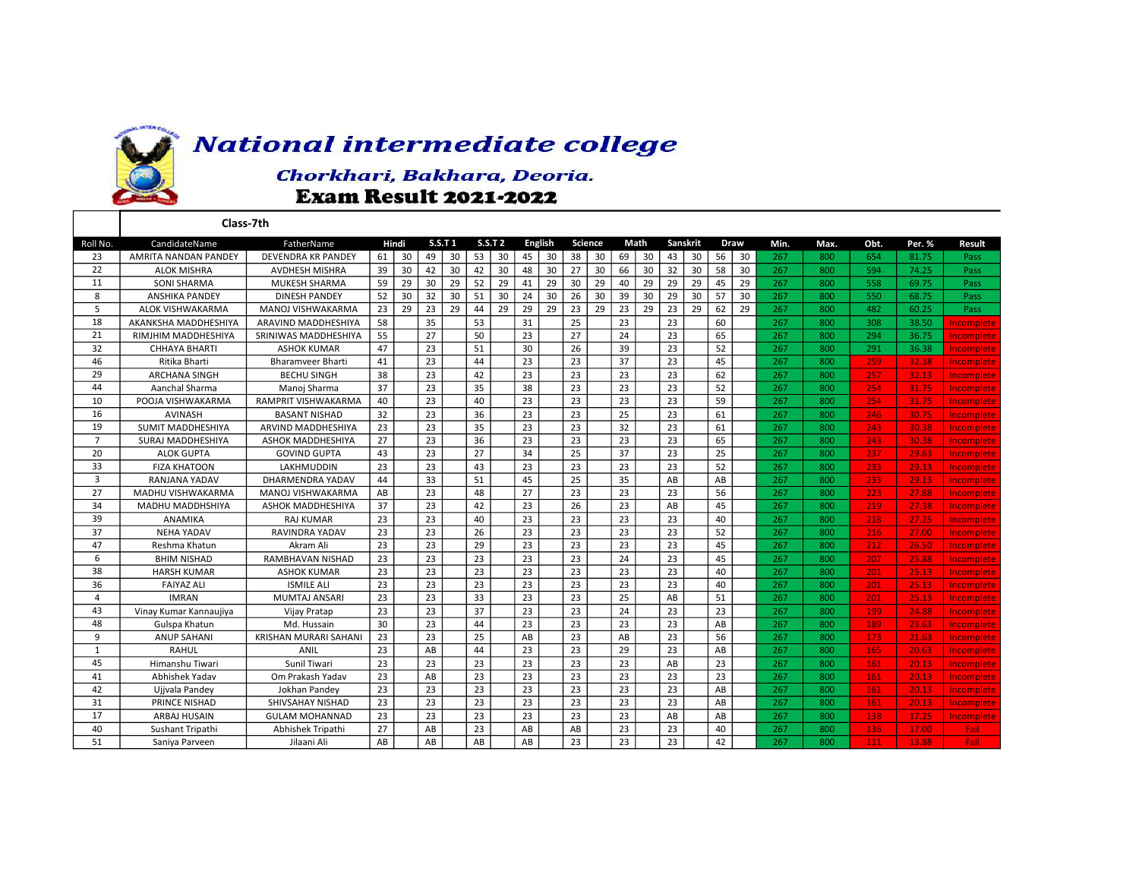

## **National intermediate college**

## Chorkhari, Bakhara, Deoria. **Exam Result 2021-2022**

|                | Class-7th                   |                              |                        |    |                |    |                |    |         |    |      |    |          |    |      |    |      |      |      |        |        |       |             |
|----------------|-----------------------------|------------------------------|------------------------|----|----------------|----|----------------|----|---------|----|------|----|----------|----|------|----|------|------|------|--------|--------|-------|-------------|
| Roll No.       | CandidateName               | FatherName                   | <b>S.S.T1</b><br>Hindi |    | <b>S.S.T 2</b> |    | <b>English</b> |    | Science |    | Math |    | Sanskrit |    | Draw |    | Min. | Max. | Obt. | Per. % | Result |       |             |
| 23             | <b>AMRITA NANDAN PANDEY</b> | <b>DEVENDRA KR PANDEY</b>    | 61                     | 30 | 49             | 30 | 53             | 30 | 45      | 30 | 38   | 30 | 69       | 30 | 43   | 30 | 56   | 30   | 267  | 800    | 654    | 81.75 | <b>Pass</b> |
| 22             | <b>ALOK MISHRA</b>          | AVDHESH MISHRA               | 39                     | 30 | 42             | 30 | 42             | 30 | 48      | 30 | 27   | 30 | 66       | 30 | 32   | 30 | 58   | 30   | 267  | 800    | 594    | 74.25 | Pass        |
| 11             | <b>SONI SHARMA</b>          | <b>MUKESH SHARMA</b>         | 59                     | 29 | 30             | 29 | 52             | 29 | 41      | 29 | 30   | 29 | 40       | 29 | 29   | 29 | 45   | 29   | 267  | 800    | 558    | 69.75 | Pass        |
| 8              | <b>ANSHIKA PANDEY</b>       | <b>DINESH PANDEY</b>         | 52                     | 30 | 32             | 30 | 51             | 30 | 24      | 30 | 26   | 30 | 39       | 30 | 29   | 30 | 57   | 30   | 267  | 800    | 550    | 68.75 | Pass        |
| 5              | ALOK VISHWAKARMA            | MANOJ VISHWAKARMA            | 23                     | 29 | 23             | 29 | 44             | 29 | 29      | 29 | 23   | 29 | 23       | 29 | 23   | 29 | 62   | 29   | 267  | 800    | 482    | 60.25 | Pass        |
| 18             | AKANKSHA MADDHESHIYA        | ARAVIND MADDHESHIYA          | 58                     |    | 35             |    | 53             |    | 31      |    | 25   |    | 23       |    | 23   |    | 60   |      | 267  | 800    | 308    | 38.50 | Incomplete  |
| 21             | RIMJHIM MADDHESHIYA         | SRINIWAS MADDHESHIYA         | 55                     |    | 27             |    | 50             |    | 23      |    | 27   |    | 24       |    | 23   |    | 65   |      | 267  | 800    | 294    | 36.75 | Incomplete  |
| 32             | CHHAYA BHARTI               | <b>ASHOK KUMAR</b>           | 47                     |    | 23             |    | 51             |    | 30      |    | 26   |    | 39       |    | 23   |    | 52   |      | 267  | 800    | 291    | 36.38 | Incomplete  |
| 46             | Ritika Bharti               | <b>Bharamveer Bharti</b>     | 41                     |    | 23             |    | 44             |    | 23      |    | 23   |    | 37       |    | 23   |    | 45   |      | 267  | 800    | 259    | 32.38 | Incomplete  |
| 29             | <b>ARCHANA SINGH</b>        | <b>BECHU SINGH</b>           | 38                     |    | 23             |    | 42             |    | 23      |    | 23   |    | 23       |    | 23   |    | 62   |      | 267  | 800    | 257    | 32.13 | Incomplete  |
| 44             | Aanchal Sharma              | Manoj Sharma                 | 37                     |    | 23             |    | 35             |    | 38      |    | 23   |    | 23       |    | 23   |    | 52   |      | 267  | 800    | 254    | 31.75 | Incomplete  |
| 10             | POOJA VISHWAKARMA           | RAMPRIT VISHWAKARMA          | 40                     |    | 23             |    | 40             |    | 23      |    | 23   |    | 23       |    | 23   |    | 59   |      | 267  | 800    | 254    | 31.75 | Incomplete  |
| 16             | <b>AVINASH</b>              | <b>BASANT NISHAD</b>         | 32                     |    | 23             |    | 36             |    | 23      |    | 23   |    | 25       |    | 23   |    | 61   |      | 267  | 800    | 246    | 30.75 | Incomplete  |
| 19             | <b>SUMIT MADDHESHIYA</b>    | ARVIND MADDHESHIYA           | 23                     |    | 23             |    | 35             |    | 23      |    | 23   |    | 32       |    | 23   |    | 61   |      | 267  | 800    | 243    | 30.38 | Incomplete  |
| $\overline{7}$ | SURAJ MADDHESHIYA           | ASHOK MADDHESHIYA            | 27                     |    | 23             |    | 36             |    | 23      |    | 23   |    | 23       |    | 23   |    | 65   |      | 267  | 800    | 243    | 30.38 | Incomplete  |
| 20             | <b>ALOK GUPTA</b>           | <b>GOVIND GUPTA</b>          | 43                     |    | 23             |    | 27             |    | 34      |    | 25   |    | 37       |    | 23   |    | 25   |      | 267  | 800    | 237    | 29.63 | Incomplete  |
| 33             | <b>FIZA KHATOON</b>         | <b>LAKHMUDDIN</b>            | 23                     |    | 23             |    | 43             |    | 23      |    | 23   |    | 23       |    | 23   |    | 52   |      | 267  | 800    | 233    | 29.13 | Incomplete  |
| 3              | RANJANA YADAV               | DHARMENDRA YADAV             | 44                     |    | 33             |    | 51             |    | 45      |    | 25   |    | 35       |    | AB   |    | AB   |      | 267  | 800    | 233    | 29.13 | Incomplete  |
| 27             | MADHU VISHWAKARMA           | <b>MANOJ VISHWAKARMA</b>     | AB                     |    | 23             |    | 48             |    | 27      |    | 23   |    | 23       |    | 23   |    | 56   |      | 267  | 800    | 223    | 27.88 | Incomplete  |
| 34             | MADHU MADDHSHIYA            | ASHOK MADDHESHIYA            | 37                     |    | 23             |    | 42             |    | 23      |    | 26   |    | 23       |    | AB   |    | 45   |      | 267  | 800    | 219    | 27.38 | Incomplete  |
| 39             | <b>ANAMIKA</b>              | <b>RAJ KUMAR</b>             | 23                     |    | 23             |    | 40             |    | 23      |    | 23   |    | 23       |    | 23   |    | 40   |      | 267  | 800    | 218    | 27.25 | Incomplete  |
| 37             | <b>NEHA YADAV</b>           | RAVINDRA YADAV               | 23                     |    | 23             |    | 26             |    | 23      |    | 23   |    | 23       |    | 23   |    | 52   |      | 267  | 800    | 216    | 27.00 | Incomplete  |
| 47             | Reshma Khatun               | Akram Ali                    | 23                     |    | 23             |    | 29             |    | 23      |    | 23   |    | 23       |    | 23   |    | 45   |      | 267  | 800    | 212    | 26.50 | Incomplete  |
| 6              | <b>BHIM NISHAD</b>          | <b>RAMBHAVAN NISHAD</b>      | 23                     |    | 23             |    | 23             |    | 23      |    | 23   |    | 24       |    | 23   |    | 45   |      | 267  | 800    | 207    | 25.88 | Incomplete  |
| 38             | <b>HARSH KUMAR</b>          | <b>ASHOK KUMAR</b>           | 23                     |    | 23             |    | 23             |    | 23      |    | 23   |    | 23       |    | 23   |    | 40   |      | 267  | 800    | 201    | 25.13 | Incomplete  |
| 36             | <b>FAIYAZ ALI</b>           | <b>ISMILE ALI</b>            | 23                     |    | 23             |    | 23             |    | 23      |    | 23   |    | 23       |    | 23   |    | 40   |      | 267  | 800    | 201    | 25.13 | Incomplete  |
| $\overline{4}$ | <b>IMRAN</b>                | MUMTAJ ANSARI                | 23                     |    | 23             |    | 33             |    | 23      |    | 23   |    | 25       |    | AB   |    | 51   |      | 267  | 800    | 201    | 25.13 | Incomplete  |
| 43             | Vinay Kumar Kannaujiya      | Vijay Pratap                 | 23                     |    | 23             |    | 37             |    | 23      |    | 23   |    | 24       |    | 23   |    | 23   |      | 267  | 800    | 199    | 24.88 | Incomplete  |
| 48             | Gulspa Khatun               | Md. Hussain                  | 30                     |    | 23             |    | 44             |    | 23      |    | 23   |    | 23       |    | 23   |    | AB   |      | 267  | 800    | 189    | 23.63 | Incomplete  |
| 9              | <b>ANUP SAHANI</b>          | <b>KRISHAN MURARI SAHANI</b> | 23                     |    | 23             |    | 25             |    | AB      |    | 23   |    | AB       |    | 23   |    | 56   |      | 267  | 800    | 173    | 21.63 | Incomplete  |
| $\mathbf{1}$   | <b>RAHUL</b>                | ANIL                         | 23                     |    | AB             |    | 44             |    | 23      |    | 23   |    | 29       |    | 23   |    | AB   |      | 267  | 800    | 165    | 20.63 | Incomplete  |
| 45             | Himanshu Tiwari             | Sunil Tiwari                 | 23                     |    | 23             |    | 23             |    | 23      |    | 23   |    | 23       |    | AB   |    | 23   |      | 267  | 800    | 161    | 20.13 | Incomplete  |
| 41             | Abhishek Yadav              | Om Prakash Yadav             | 23                     |    | AB             |    | 23             |    | 23      |    | 23   |    | 23       |    | 23   |    | 23   |      | 267  | 800    | 161    | 20.13 | Incomplete  |
| 42             | Ujjvala Pandey              | Jokhan Pandey                | 23                     |    | 23             |    | 23             |    | 23      |    | 23   |    | 23       |    | 23   |    | AB   |      | 267  | 800    | 161    | 20.13 | Incomplete  |
| 31             | <b>PRINCE NISHAD</b>        | SHIVSAHAY NISHAD             | 23                     |    | 23             |    | 23             |    | 23      |    | 23   |    | 23       |    | 23   |    | AB   |      | 267  | 800    | 161    | 20.13 | Incomplete  |
| 17             | ARBAJ HUSAIN                | <b>GULAM MOHANNAD</b>        | 23                     |    | 23             |    | 23             |    | 23      |    | 23   |    | 23       |    | AB   |    | AB   |      | 267  | 800    | 138    | 17.25 | Incomplete  |
| 40             | Sushant Tripathi            | Abhishek Tripathi            | 27                     |    | AB             |    | 23             |    | AB      |    | AB   |    | 23       |    | 23   |    | 40   |      | 267  | 800    | 136    | 17.00 | Fail        |
| 51             | Saniya Parveen              | Jilaani Ali                  | AB                     |    | AB             |    | AB             |    | AB      |    | 23   |    | 23       |    | 23   |    | 42   |      | 267  | 800    | 111    | 13.88 | Fail:       |